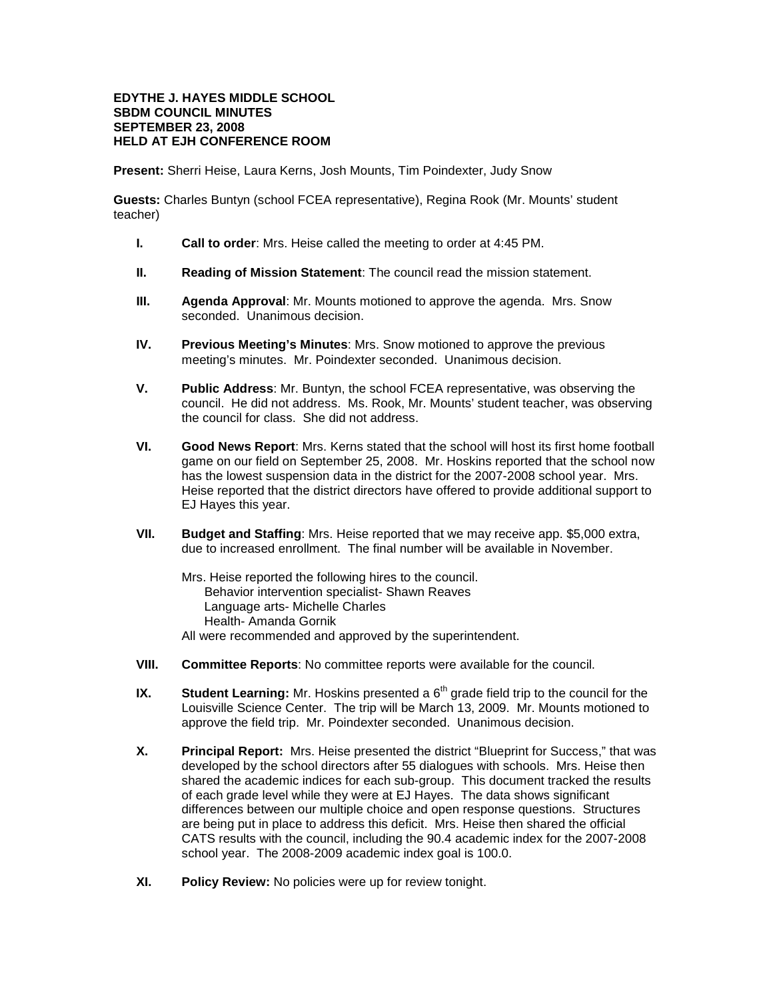## **EDYTHE J. HAYES MIDDLE SCHOOL SBDM COUNCIL MINUTES SEPTEMBER 23, 2008 HELD AT EJH CONFERENCE ROOM**

**Present:** Sherri Heise, Laura Kerns, Josh Mounts, Tim Poindexter, Judy Snow

**Guests:** Charles Buntyn (school FCEA representative), Regina Rook (Mr. Mounts' student teacher)

- **I. Call to order**: Mrs. Heise called the meeting to order at 4:45 PM.
- **II. Reading of Mission Statement**: The council read the mission statement.
- **III. Agenda Approval**: Mr. Mounts motioned to approve the agenda. Mrs. Snow seconded. Unanimous decision.
- **IV. Previous Meeting's Minutes**: Mrs. Snow motioned to approve the previous meeting's minutes. Mr. Poindexter seconded. Unanimous decision.
- **V. Public Address**: Mr. Buntyn, the school FCEA representative, was observing the council. He did not address. Ms. Rook, Mr. Mounts' student teacher, was observing the council for class. She did not address.
- **VI. Good News Report**: Mrs. Kerns stated that the school will host its first home football game on our field on September 25, 2008. Mr. Hoskins reported that the school now has the lowest suspension data in the district for the 2007-2008 school year. Mrs. Heise reported that the district directors have offered to provide additional support to EJ Hayes this year.
- **VII. Budget and Staffing**: Mrs. Heise reported that we may receive app. \$5,000 extra, due to increased enrollment. The final number will be available in November.

Mrs. Heise reported the following hires to the council. Behavior intervention specialist- Shawn Reaves Language arts- Michelle Charles Health- Amanda Gornik All were recommended and approved by the superintendent.

- **VIII. Committee Reports**: No committee reports were available for the council.
- **IX.** Student Learning: Mr. Hoskins presented a 6<sup>th</sup> grade field trip to the council for the Louisville Science Center. The trip will be March 13, 2009. Mr. Mounts motioned to approve the field trip. Mr. Poindexter seconded. Unanimous decision.
- **X. Principal Report:** Mrs. Heise presented the district "Blueprint for Success," that was developed by the school directors after 55 dialogues with schools. Mrs. Heise then shared the academic indices for each sub-group. This document tracked the results of each grade level while they were at EJ Hayes. The data shows significant differences between our multiple choice and open response questions. Structures are being put in place to address this deficit. Mrs. Heise then shared the official CATS results with the council, including the 90.4 academic index for the 2007-2008 school year. The 2008-2009 academic index goal is 100.0.
- **XI. Policy Review:** No policies were up for review tonight.